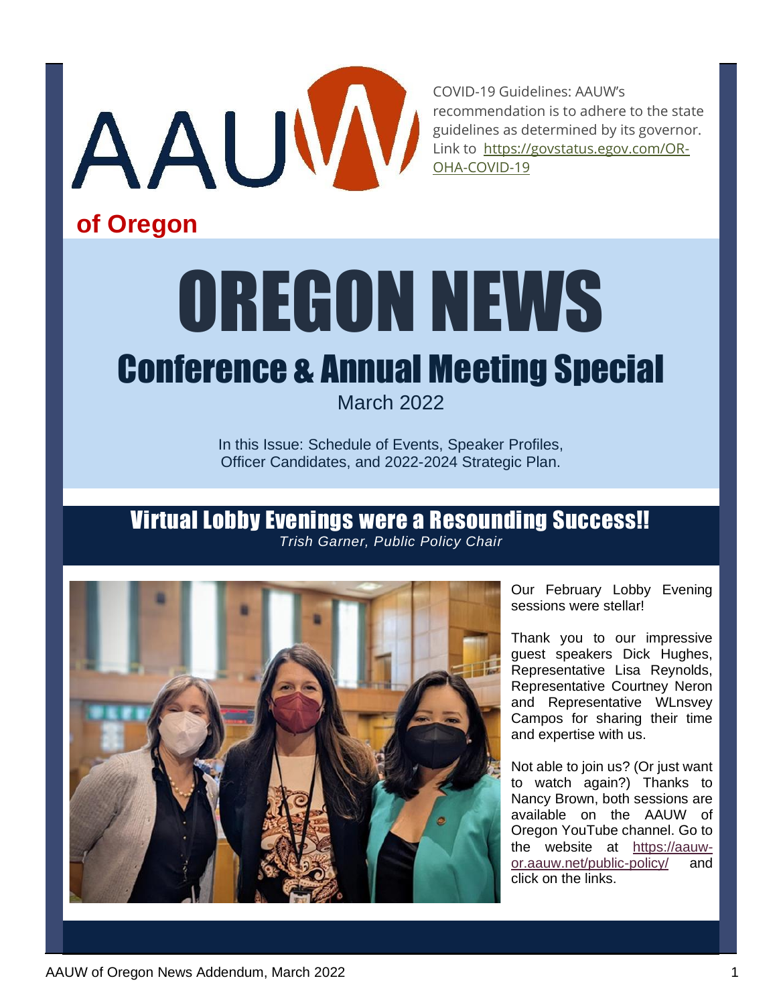

COVID-19 Guidelines: AAUW's recommendation is to adhere to the state guidelines as determined by its governor. Link to [https://govstatus.egov.com/OR-](about:blank)[OHA-COVID-19](about:blank)

# **of Oregon**

# OREGON NEWS

# Conference & Annual Meeting Special

March 2022

In this Issue: Schedule of Events, Speaker Profiles, Officer Candidates, and 2022-2024 Strategic Plan.

#### Virtual Lobby Evenings were a Resounding Success!! *Trish Garner, Public Policy Chair*



Our February Lobby Evening sessions were stellar!

Thank you to our impressive guest speakers Dick Hughes, Representative Lisa Reynolds, Representative Courtney Neron and Representative WLnsvey Campos for sharing their time and expertise with us.

Not able to join us? (Or just want to watch again?) Thanks to Nancy Brown, both sessions are available on the AAUW of Oregon YouTube channel. Go to the website at [https://aauw](about:blank)[or.aauw.net/public-policy/](about:blank) and click on the links.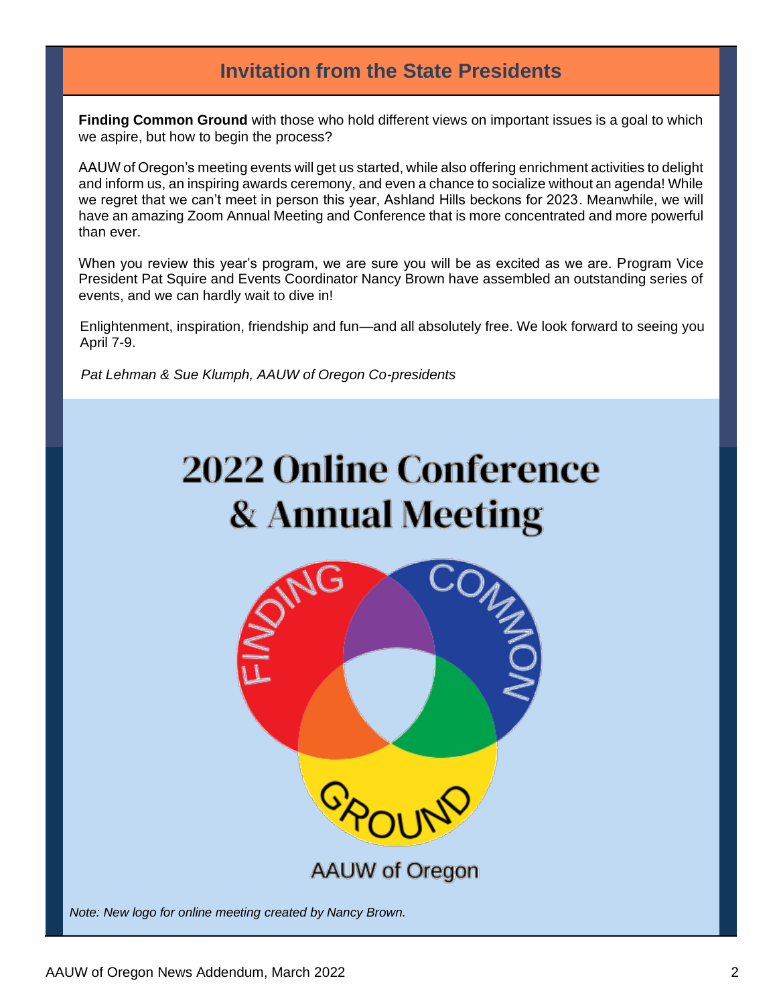## **Invitation from the State Presidents**

**Finding Common Ground** with those who hold different views on important issues is a goal to which we aspire, but how to begin the process?

AAUW of Oregon's meeting events will get us started, while also offering enrichment activities to delight and inform us, an inspiring awards ceremony, and even a chance to socialize without an agenda! While we regret that we can't meet in person this year, Ashland Hills beckons for 2023. Meanwhile, we will have an amazing Zoom Annual Meeting and Conference that is more concentrated and more powerful than ever.

When you review this year's program, we are sure you will be as excited as we are. Program Vice President Pat Squire and Events Coordinator Nancy Brown have assembled an outstanding series of events, and we can hardly wait to dive in!

Enlightenment, inspiration, friendship and fun—and all absolutely free. We look forward to seeing you April 7-9.

 *Pat Lehman & Sue Klumph, AAUW of Oregon Co-presidents*

# **2022 Online Conference** & Annual Meeting



*Note: New logo for online meeting created by Nancy Brown.*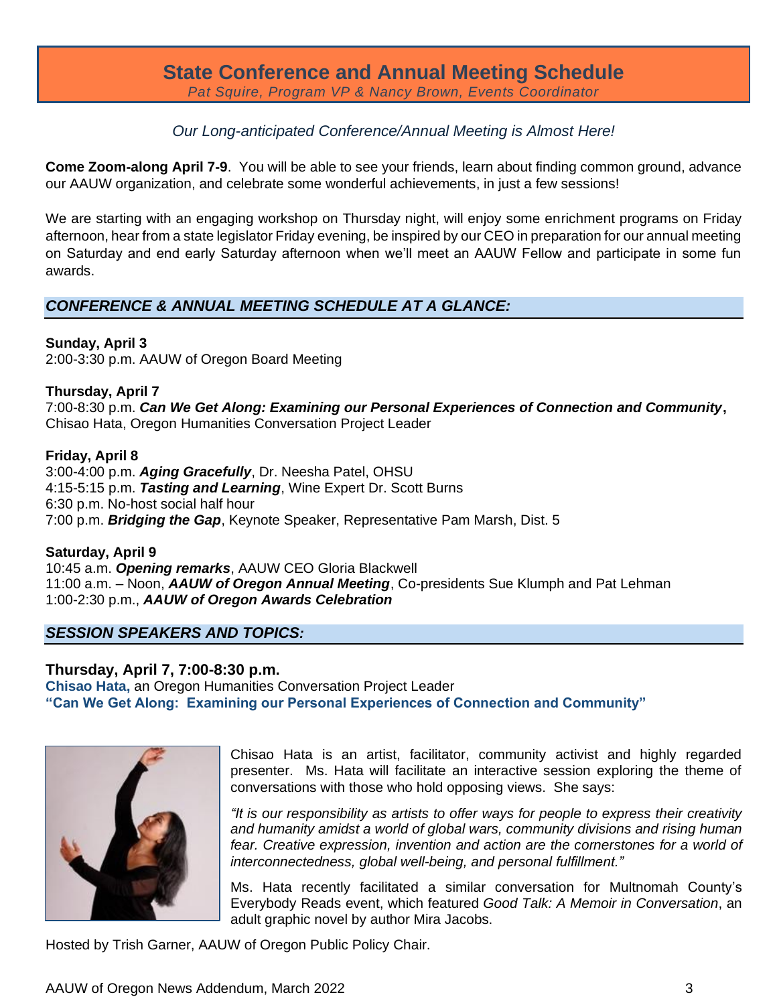# **State Conference and Annual Meeting Schedule**

*Pat Squire, Program VP & Nancy Brown, Events Coordinator*

#### *Our Long-anticipated Conference/Annual Meeting is Almost Here!*

**Come Zoom-along April 7-9**. You will be able to see your friends, learn about finding common ground, advance our AAUW organization, and celebrate some wonderful achievements, in just a few sessions!

We are starting with an engaging workshop on Thursday night, will enjoy some enrichment programs on Friday afternoon, hear from a state legislator Friday evening, be inspired by our CEO in preparation for our annual meeting on Saturday and end early Saturday afternoon when we'll meet an AAUW Fellow and participate in some fun awards.

#### *CONFERENCE & ANNUAL MEETING SCHEDULE AT A GLANCE:*

#### **Sunday, April 3**

2:00-3:30 p.m. AAUW of Oregon Board Meeting

#### **Thursday, April 7**

7:00-8:30 p.m. *Can We Get Along: Examining our Personal Experiences of Connection and Community***,** Chisao Hata, Oregon Humanities Conversation Project Leader

#### **Friday, April 8**

3:00-4:00 p.m. *Aging Gracefully*, Dr. Neesha Patel, OHSU 4:15-5:15 p.m. *Tasting and Learning*, Wine Expert Dr. Scott Burns 6:30 p.m. No-host social half hour 7:00 p.m. *Bridging the Gap*, Keynote Speaker, Representative Pam Marsh, Dist. 5

**Saturday, April 9** 10:45 a.m. *Opening remarks*, AAUW CEO Gloria Blackwell 11:00 a.m. – Noon, *AAUW of Oregon Annual Meeting*, Co-presidents Sue Klumph and Pat Lehman 1:00-2:30 p.m., *AAUW of Oregon Awards Celebration*

#### *SESSION SPEAKERS AND TOPICS:*

#### **Thursday, April 7, 7:00-8:30 p.m.**

**Chisao Hata,** an Oregon Humanities Conversation Project Leader **"Can We Get Along: Examining our Personal Experiences of Connection and Community"**



Chisao Hata is an artist, facilitator, community activist and highly regarded presenter. Ms. Hata will facilitate an interactive session exploring the theme of conversations with those who hold opposing views. She says:

*"It is our responsibility as artists to offer ways for people to express their creativity and humanity amidst a world of global wars, community divisions and rising human fear. Creative expression, invention and action are the cornerstones for a world of interconnectedness, global well-being, and personal fulfillment."*

Ms. Hata recently facilitated a similar conversation for Multnomah County's Everybody Reads event, which featured *Good Talk: A Memoir in Conversation*, an adult graphic novel by author Mira Jacobs.

Hosted by Trish Garner, AAUW of Oregon Public Policy Chair.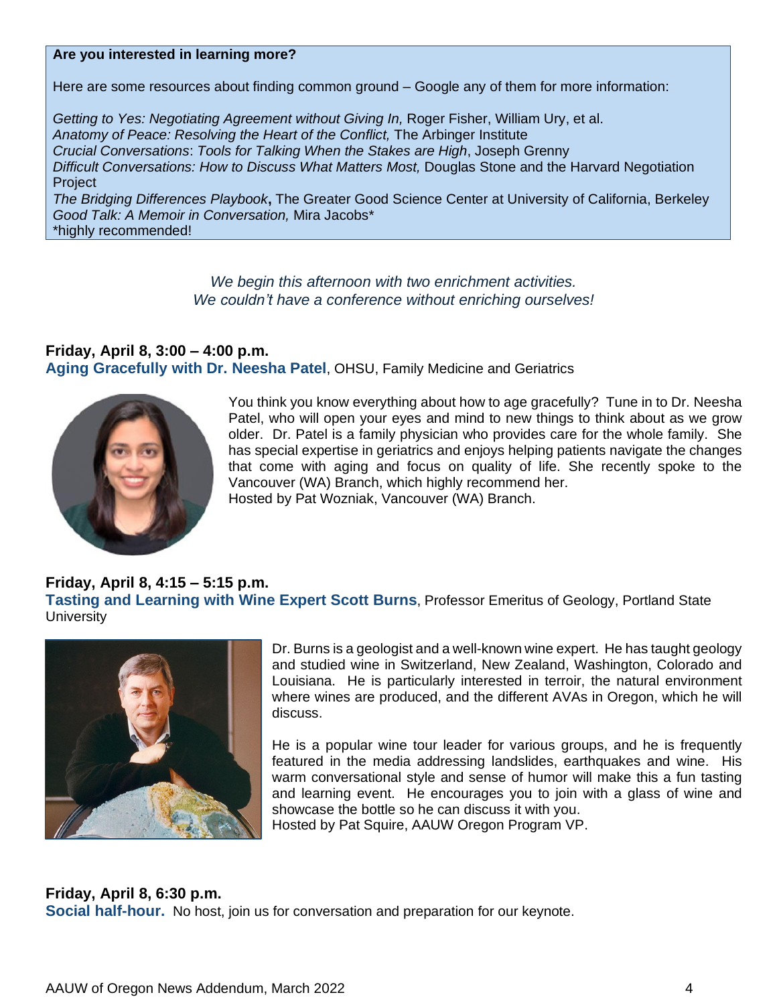#### **Are you interested in learning more?**

Here are some resources about finding common ground – Google any of them for more information:

*Getting to Yes: Negotiating Agreement without Giving In,* Roger Fisher, William Ury, et al. *Anatomy of Peace: Resolving the Heart of the Conflict,* The Arbinger Institute *Crucial Conversations*: *Tools for Talking When the Stakes are High*, Joseph Grenny *Difficult Conversations: How to Discuss What Matters Most,* Douglas Stone and the Harvard Negotiation Project *The Bridging Differences Playbook***,** The Greater Good Science Center at University of California, Berkeley *Good Talk: A Memoir in Conversation,* Mira Jacobs\*

\*highly recommended!

*We begin this afternoon with two enrichment activities. We couldn't have a conference without enriching ourselves!*

#### **Friday, April 8, 3:00 – 4:00 p.m. Aging Gracefully with Dr. Neesha Patel**, OHSU, Family Medicine and Geriatrics



You think you know everything about how to age gracefully? Tune in to Dr. Neesha Patel, who will open your eyes and mind to new things to think about as we grow older. Dr. Patel is a family physician who provides care for the whole family. She has special expertise in geriatrics and enjoys helping patients navigate the changes that come with aging and focus on quality of life. She recently spoke to the Vancouver (WA) Branch, which highly recommend her. Hosted by Pat Wozniak, Vancouver (WA) Branch.

#### **Friday, April 8, 4:15 – 5:15 p.m. Tasting and Learning with Wine Expert Scott Burns**, Professor Emeritus of Geology, Portland State **University**



Dr. Burns is a geologist and a well-known wine expert. He has taught geology and studied wine in Switzerland, New Zealand, Washington, Colorado and Louisiana. He is particularly interested in terroir, the natural environment where wines are produced, and the different AVAs in Oregon, which he will discuss.

He is a popular wine tour leader for various groups, and he is frequently featured in the media addressing landslides, earthquakes and wine. His warm conversational style and sense of humor will make this a fun tasting and learning event. He encourages you to join with a glass of wine and showcase the bottle so he can discuss it with you. Hosted by Pat Squire, AAUW Oregon Program VP.

#### **Friday, April 8, 6:30 p.m.**

**Social half-hour.** No host, join us for conversation and preparation for our keynote.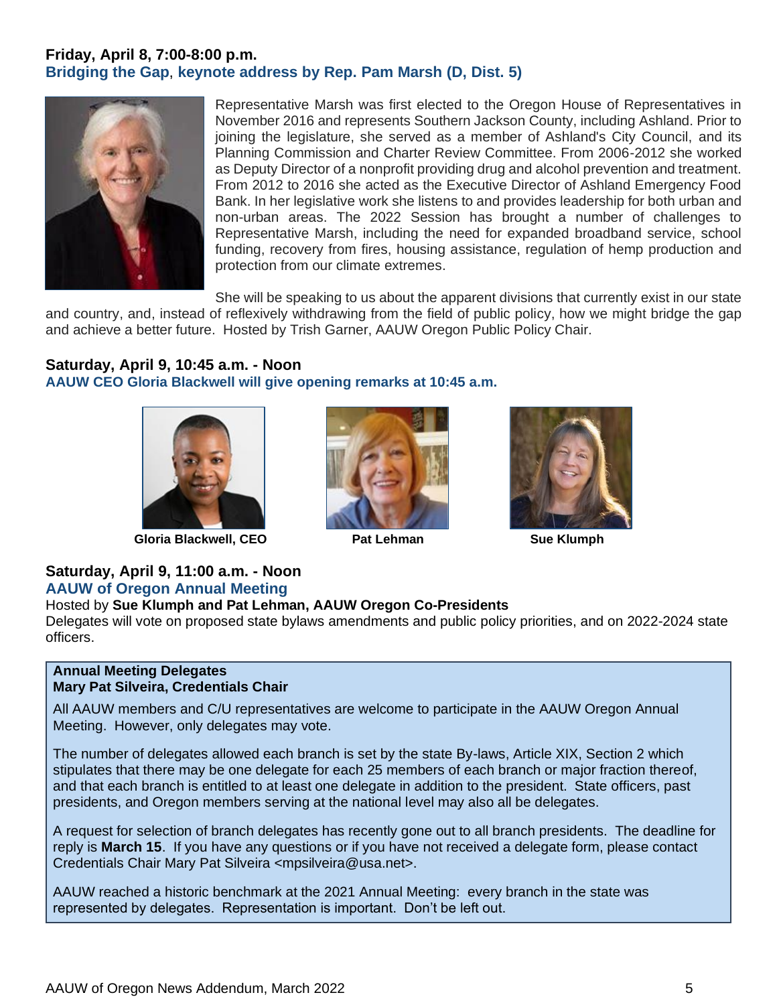#### **Friday, April 8, 7:00-8:00 p.m. Bridging the Gap**, **keynote address by Rep. Pam Marsh (D, Dist. 5)**



Representative Marsh was first elected to the Oregon House of Representatives in November 2016 and represents Southern Jackson County, including Ashland. Prior to joining the legislature, she served as a member of Ashland's City Council, and its Planning Commission and Charter Review Committee. From 2006-2012 she worked as Deputy Director of a nonprofit providing drug and alcohol prevention and treatment. From 2012 to 2016 she acted as the Executive Director of Ashland Emergency Food Bank. In her legislative work she listens to and provides leadership for both urban and non-urban areas. The 2022 Session has brought a number of challenges to Representative Marsh, including the need for expanded broadband service, school funding, recovery from fires, housing assistance, regulation of hemp production and protection from our climate extremes.

She will be speaking to us about the apparent divisions that currently exist in our state and country, and, instead of reflexively withdrawing from the field of public policy, how we might bridge the gap and achieve a better future. Hosted by Trish Garner, AAUW Oregon Public Policy Chair.

#### **Saturday, April 9, 10:45 a.m. - Noon**

**AAUW CEO Gloria Blackwell will give opening remarks at 10:45 a.m.**



**Gloria Blackwell, CEO Pat Lehman Sue Klumph**





#### **Saturday, April 9, 11:00 a.m. - Noon AAUW of Oregon Annual Meeting**

#### Hosted by **Sue Klumph and Pat Lehman, AAUW Oregon Co-Presidents**

Delegates will vote on proposed state bylaws amendments and public policy priorities, and on 2022-2024 state officers.

#### **Annual Meeting Delegates Mary Pat Silveira, Credentials Chair**

All AAUW members and C/U representatives are welcome to participate in the AAUW Oregon Annual Meeting. However, only delegates may vote.

The number of delegates allowed each branch is set by the state By-laws, Article XIX, Section 2 which stipulates that there may be one delegate for each 25 members of each branch or major fraction thereof, and that each branch is entitled to at least one delegate in addition to the president. State officers, past presidents, and Oregon members serving at the national level may also all be delegates.

A request for selection of branch delegates has recently gone out to all branch presidents. The deadline for reply is **March 15**. If you have any questions or if you have not received a delegate form, please contact Credentials Chair Mary Pat Silveira <mpsilveira@usa.net>.

AAUW reached a historic benchmark at the 2021 Annual Meeting: every branch in the state was represented by delegates. Representation is important. Don't be left out.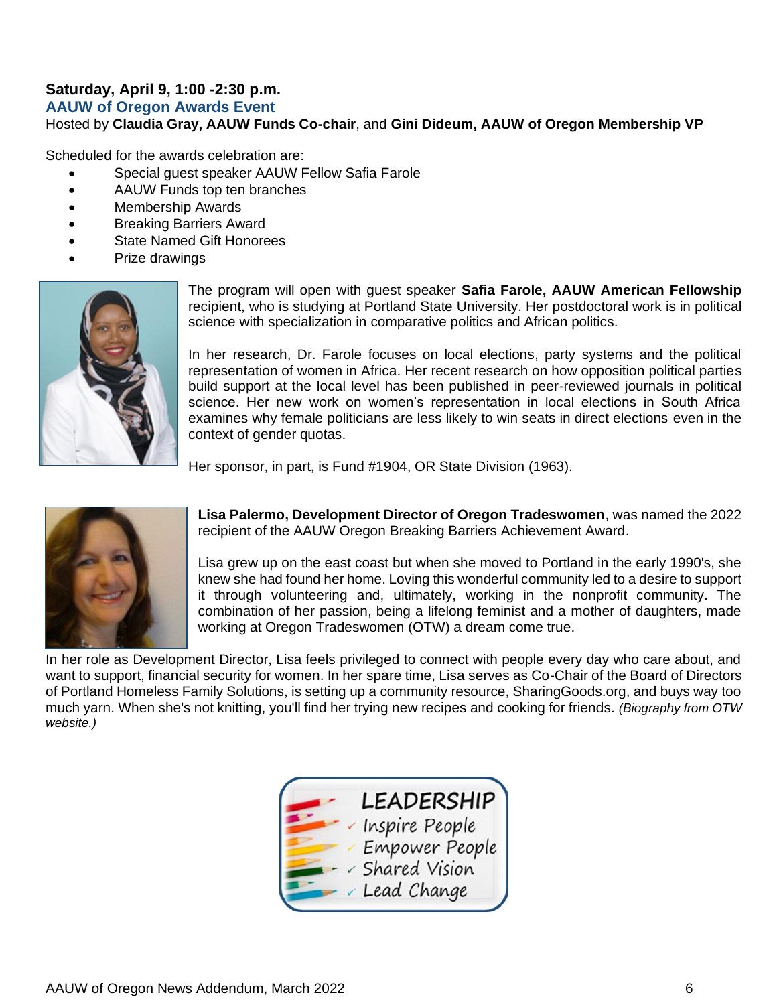#### **Saturday, April 9, 1:00 -2:30 p.m.**

**AAUW of Oregon Awards Event**

Hosted by **Claudia Gray, AAUW Funds Co-chair**, and **Gini Dideum, AAUW of Oregon Membership VP**

Scheduled for the awards celebration are:

- Special guest speaker AAUW Fellow Safia Farole
- AAUW Funds top ten branches
- Membership Awards
- Breaking Barriers Award
- **State Named Gift Honorees**
- Prize drawings



The program will open with guest speaker **Safia Farole, AAUW American Fellowship**  recipient, who is studying at Portland State University. Her postdoctoral work is in political science with specialization in comparative politics and African politics.

In her research, Dr. Farole focuses on local elections, party systems and the political representation of women in Africa. Her recent research on how opposition political parties build support at the local level has been published in peer-reviewed journals in political science. Her new work on women's representation in local elections in South Africa examines why female politicians are less likely to win seats in direct elections even in the context of gender quotas.

Her sponsor, in part, is Fund #1904, OR State Division (1963).



**Lisa Palermo, Development Director of Oregon Tradeswomen**, was named the 2022 recipient of the AAUW Oregon Breaking Barriers Achievement Award.

Lisa grew up on the east coast but when she moved to Portland in the early 1990's, she knew she had found her home. Loving this wonderful community led to a desire to support it through volunteering and, ultimately, working in the nonprofit community. The combination of her passion, being a lifelong feminist and a mother of daughters, made working at Oregon Tradeswomen (OTW) a dream come true.

In her role as Development Director, Lisa feels privileged to connect with people every day who care about, and want to support, financial security for women. In her spare time, Lisa serves as Co-Chair of the Board of Directors of Portland Homeless Family Solutions, is setting up a community resource, SharingGoods.org, and buys way too much yarn. When she's not knitting, you'll find her trying new recipes and cooking for friends. *(Biography from OTW website.)*

| <b>LEADERSHIP</b> |
|-------------------|
| Inspire People    |
| Empower People    |
| Shared Vision     |
| Lead Change       |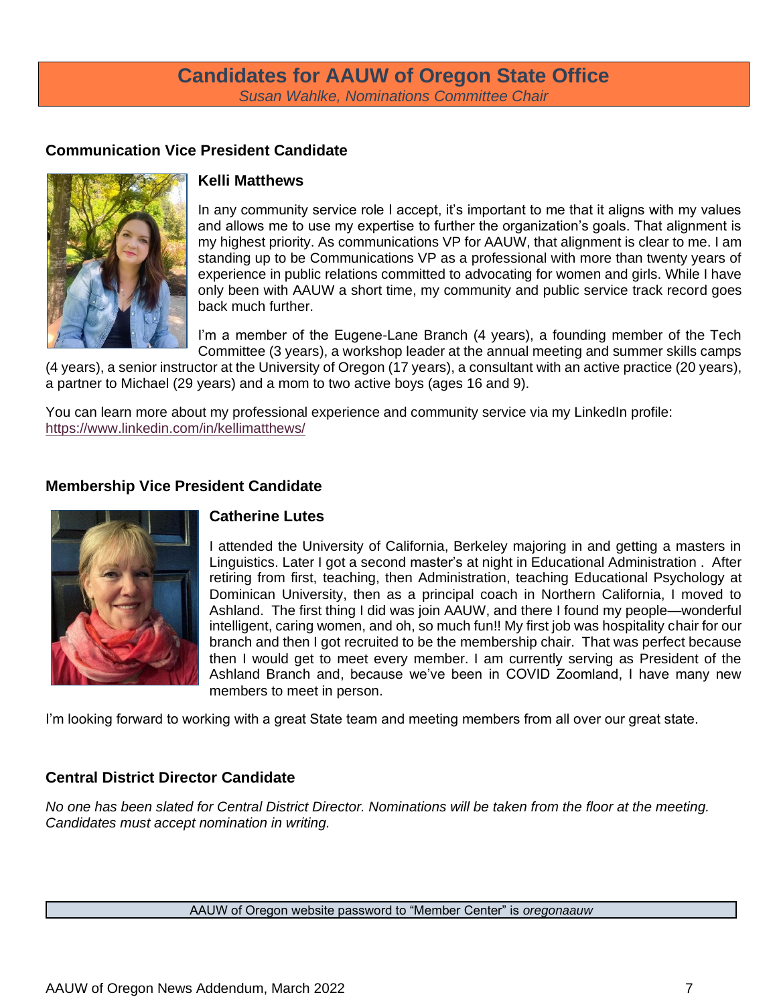#### **Candidates for AAUW of Oregon State Office** *Susan Wahlke, Nominations Committee Chair*

#### **Communication Vice President Candidate**



#### **Kelli Matthews**

In any community service role I accept, it's important to me that it aligns with my values and allows me to use my expertise to further the organization's goals. That alignment is my highest priority. As communications VP for AAUW, that alignment is clear to me. I am standing up to be Communications VP as a professional with more than twenty years of experience in public relations committed to advocating for women and girls. While I have only been with AAUW a short time, my community and public service track record goes back much further.

I'm a member of the Eugene-Lane Branch (4 years), a founding member of the Tech Committee (3 years), a workshop leader at the annual meeting and summer skills camps

(4 years), a senior instructor at the University of Oregon (17 years), a consultant with an active practice (20 years), a partner to Michael (29 years) and a mom to two active boys (ages 16 and 9).

You can learn more about my professional experience and community service via my LinkedIn profile: [https://www.linkedin.com/in/kellimatthews/](about:blank)

#### **Membership Vice President Candidate**



#### **Catherine Lutes**

I attended the University of California, Berkeley majoring in and getting a masters in Linguistics. Later I got a second master's at night in Educational Administration . After retiring from first, teaching, then Administration, teaching Educational Psychology at Dominican University, then as a principal coach in Northern California, I moved to Ashland. The first thing I did was join AAUW, and there I found my people—wonderful intelligent, caring women, and oh, so much fun!! My first job was hospitality chair for our branch and then I got recruited to be the membership chair. That was perfect because then I would get to meet every member. I am currently serving as President of the Ashland Branch and, because we've been in COVID Zoomland, I have many new members to meet in person.

I'm looking forward to working with a great State team and meeting members from all over our great state.

#### **Central District Director Candidate**

*No one has been slated for Central District Director. Nominations will be taken from the floor at the meeting. Candidates must accept nomination in writing.*

AAUW of Oregon website password to "Member Center" is *oregonaauw*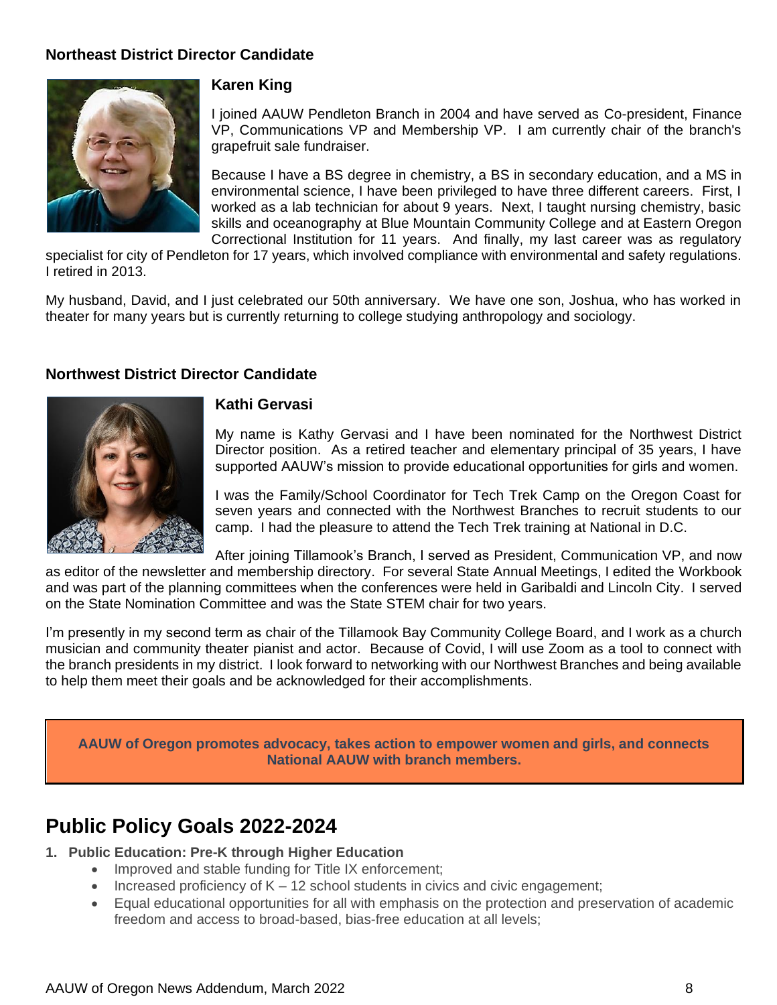#### **Northeast District Director Candidate**



#### **Karen King**

I joined AAUW Pendleton Branch in 2004 and have served as Co-president, Finance VP, Communications VP and Membership VP. I am currently chair of the branch's grapefruit sale fundraiser.

Because I have a BS degree in chemistry, a BS in secondary education, and a MS in environmental science, I have been privileged to have three different careers. First, I worked as a lab technician for about 9 years. Next, I taught nursing chemistry, basic skills and oceanography at Blue Mountain Community College and at Eastern Oregon Correctional Institution for 11 years. And finally, my last career was as regulatory

specialist for city of Pendleton for 17 years, which involved compliance with environmental and safety regulations. I retired in 2013.

My husband, David, and I just celebrated our 50th anniversary. We have one son, Joshua, who has worked in theater for many years but is currently returning to college studying anthropology and sociology.

#### **Northwest District Director Candidate**



#### **Kathi Gervasi**

My name is Kathy Gervasi and I have been nominated for the Northwest District Director position. As a retired teacher and elementary principal of 35 years, I have supported AAUW's mission to provide educational opportunities for girls and women.

I was the Family/School Coordinator for Tech Trek Camp on the Oregon Coast for seven years and connected with the Northwest Branches to recruit students to our camp. I had the pleasure to attend the Tech Trek training at National in D.C.

After joining Tillamook's Branch, I served as President, Communication VP, and now as editor of the newsletter and membership directory. For several State Annual Meetings, I edited the Workbook and was part of the planning committees when the conferences were held in Garibaldi and Lincoln City. I served on the State Nomination Committee and was the State STEM chair for two years.

I'm presently in my second term as chair of the Tillamook Bay Community College Board, and I work as a church musician and community theater pianist and actor. Because of Covid, I will use Zoom as a tool to connect with the branch presidents in my district. I look forward to networking with our Northwest Branches and being available to help them meet their goals and be acknowledged for their accomplishments.

**AAUW of Oregon promotes advocacy, takes action to empower women and girls, and connects National AAUW with branch members.**

### **Public Policy Goals 2022-2024**

- **1. Public Education: Pre-K through Higher Education**
	- Improved and stable funding for Title IX enforcement;
	- Increased proficiency of  $K 12$  school students in civics and civic engagement;
	- Equal educational opportunities for all with emphasis on the protection and preservation of academic freedom and access to broad-based, bias-free education at all levels;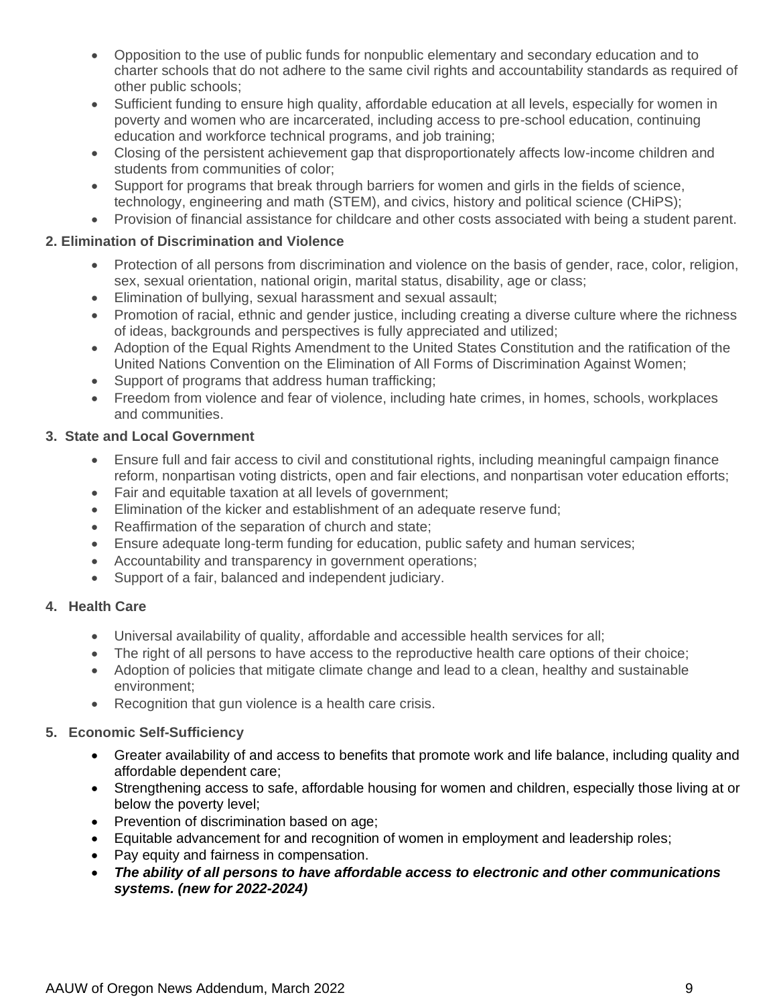- Opposition to the use of public funds for nonpublic elementary and secondary education and to charter schools that do not adhere to the same civil rights and accountability standards as required of other public schools;
- Sufficient funding to ensure high quality, affordable education at all levels, especially for women in poverty and women who are incarcerated, including access to pre-school education, continuing education and workforce technical programs, and job training;
- Closing of the persistent achievement gap that disproportionately affects low-income children and students from communities of color;
- Support for programs that break through barriers for women and girls in the fields of science, technology, engineering and math (STEM), and civics, history and political science (CHiPS);
- Provision of financial assistance for childcare and other costs associated with being a student parent.

#### **2. Elimination of Discrimination and Violence**

- Protection of all persons from discrimination and violence on the basis of gender, race, color, religion, sex, sexual orientation, national origin, marital status, disability, age or class;
- Elimination of bullying, sexual harassment and sexual assault;
- Promotion of racial, ethnic and gender justice, including creating a diverse culture where the richness of ideas, backgrounds and perspectives is fully appreciated and utilized;
- Adoption of the Equal Rights Amendment to the United States Constitution and the ratification of the United Nations Convention on the Elimination of All Forms of Discrimination Against Women;
- Support of programs that address human trafficking;
- Freedom from violence and fear of violence, including hate crimes, in homes, schools, workplaces and communities.

#### **3. State and Local Government**

- Ensure full and fair access to civil and constitutional rights, including meaningful campaign finance reform, nonpartisan voting districts, open and fair elections, and nonpartisan voter education efforts;
- Fair and equitable taxation at all levels of government;
- Elimination of the kicker and establishment of an adequate reserve fund;
- Reaffirmation of the separation of church and state;
- Ensure adequate long-term funding for education, public safety and human services;
- Accountability and transparency in government operations;
- Support of a fair, balanced and independent judiciary.

#### **4. Health Care**

- Universal availability of quality, affordable and accessible health services for all;
- The right of all persons to have access to the reproductive health care options of their choice;
- Adoption of policies that mitigate climate change and lead to a clean, healthy and sustainable environment;
- Recognition that gun violence is a health care crisis.

#### **5. Economic Self-Sufficiency**

- Greater availability of and access to benefits that promote work and life balance, including quality and affordable dependent care;
- Strengthening access to safe, affordable housing for women and children, especially those living at or below the poverty level;
- Prevention of discrimination based on age;
- Equitable advancement for and recognition of women in employment and leadership roles;
- Pay equity and fairness in compensation.
- *The ability of all persons to have affordable access to electronic and other communications systems. (new for 2022-2024)*